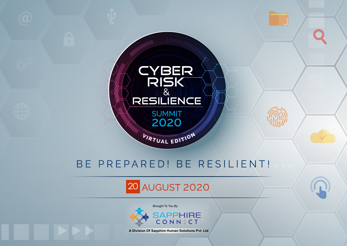

# 20 AUGUST 2020



 **A Division Of Sapphire Human Solutions Pvt. Ltd**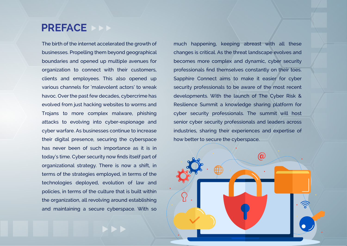### **PREFACE**

The birth of the internet accelerated the growth of businesses. Propelling them beyond geographical boundaries and opened up multiple avenues for organization to connect with their customers, clients and employees. This also opened up various channels for 'malevolent actors' to wreak havoc. Over the past few decades, cybercrime has evolved from just hacking websites to worms and Trojans to more complex malware, phishing attacks to evolving into cyber-espionage and cyber warfare. As businesses continue to increase their digital presence, securing the cyberspace has never been of such importance as it is in today's time. Cyber security now finds itself part of organizational strategy. There is now a shift, in terms of the strategies employed, in terms of the technologies deployed, evolution of law and policies, in terms of the culture that is built within the organization, all revolving around establishing and maintaining a secure cyberspace. With so

much happening, keeping abreast with all these changes is critical. As the threat landscape evolves and becomes more complex and dynamic, cyber security professionals find themselves constantly on their toes. Sapphire Connect aims to make it easier for cyber security professionals to be aware of the most recent developments. With the launch of The Cyber Risk & Resilience Summit a knowledge sharing platform for cyber security professionals. The summit will host senior cyber security professionals and leaders across industries, sharing their experiences and expertise of how better to secure the cyberspace.

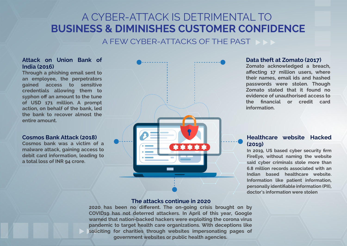# A CYBER-ATTACK IS DETRIMENTAL TO **BUSINESS & DIMINISHES CUSTOMER CONFIDENCE**

A FEW CYBER-ATTACKS OF THE PAST

#### **Attack on Union Bank of India (2016)**

**Through a phishing email sent to an employee, the perpetrators gained access to sensitive credentials allowing them to syphon off an amount to the tune of USD 171 million. A prompt action, on behalf of the bank, led the bank to recover almost the entire amount.** 

#### **Cosmos Bank Attack (2018)**

**Cosmos bank was a victim of a malware attack, gaining access to debit card information, leading to a total loss of INR 94 crore.**



#### **The attacks continue in 2020**

**2020 has been no different. The on-going crisis brought on by COVID19 has not deterred attackers. In April of this year, Google warned that nation-backed hackers were exploiting the corona virus pandemic to target health care organizations. With deceptions like soliciting for charities through websites impersonating pages of government websites or public health agencies.**

#### **Data theft at Zomato (2017)**

**Zomato acknowledged a breach, affecting 17 million users, where their names, email ids and hashed passwords were stolen. Though Zomato stated that it found no evidence of unauthorised access to the financial or credit card information.** 

#### **Healthcare website Hacked (2019)**

**In 2019, US based cyber security firm FireEye, without naming the website said cyber criminals stole more than 6.8 million records associated with an Indian based healthcare website. Information like patient information, personally identifiable information (PII), doctor's information were stolen**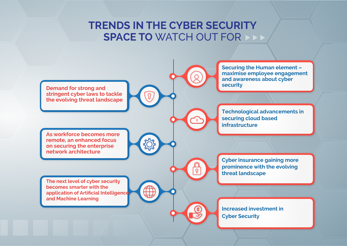### **TRENDS IN THE CYBER SECURITY SPACE TO** WATCH OUT FOR

 $Q$ 

 $\sqrt{3}$ 

 $\overline{Q}$ 

(\$

**Demand for strong and stringent cyber laws to tackle the evolving threat landscape**

**As workforce becomes more remote, an enhanced focus on securing the enterprise network architecture** 

**The next level of cyber security becomes smarter with the application of Artificial Intelligence and Machine Learning** 

**Securing the Human element – maximise employee engagement and awareness about cyber security**

**Technological advancements in securing cloud based infrastructure**

**Cyber insurance gaining more prominence with the evolving threat landscape**

**Increased investment in Cyber Security**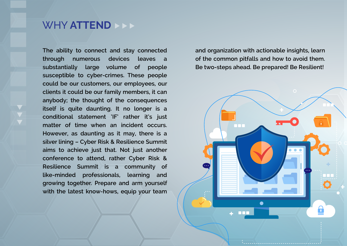### WHY **ATTEND**

**The ability to connect and stay connected through numerous devices leaves a substantially large volume of people susceptible to cyber-crimes. These people could be our customers, our employees, our clients it could be our family members, it can anybody; the thought of the consequences itself is quite daunting. It no longer is a conditional statement 'IF' rather it's just matter of time when an incident occurs. However, as daunting as it may, there is a silver lining – Cyber Risk & Resilience Summit aims to achieve just that. Not just another conference to attend, rather Cyber Risk & Resilience Summit is a community of like-minded professionals, learning and growing together. Prepare and arm yourself with the latest know-hows, equip your team**  **and organization with actionable insights, learn of the common pitfalls and how to avoid them. Be two-steps ahead. Be prepared! Be Resilient!** 

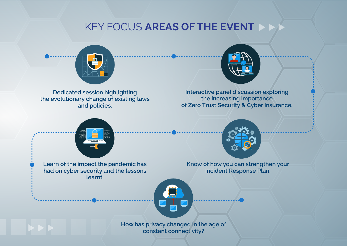### KEY FOCUS **AREAS OF THE EVENT**



**Dedicated session highlighting the evolutionary change of existing laws and policies.** 



**Interactive panel discussion exploring the increasing importance of Zero Trust Security & Cyber Insurance.**



**Learn of the impact the pandemic has had on cyber security and the lessons learnt.** 



**Know of how you can strengthen your Incident Response Plan.** 



**How has privacy changed in the age of constant connectivity?**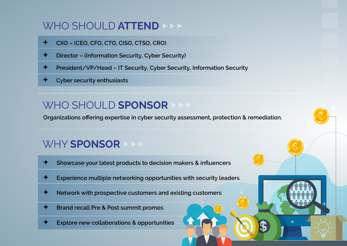## WHO SHOULD **ATTEND**

- **CXO (CEO, CFO, CTO, CISO, CTSO, CRO)**
- **Director (Information Security, Cyber Security)**
- **President/VP/Head IT Security, Cyber Security, Information Security**
- **Cyber security enthusiasts**

## WHO SHOULD **SPONSOR**

**Organizations offering expertise in cyber security assessment, protection & remediation.**

## WHY **SPONSOR**

- **Showcase your latest products to decision makers & influencers**
- **Experience multiple networking opportunities with security leaders**
- **Network with prospective customers and existing customers**
- **Brand recall Pre & Post summit promos**
- **Explore new collaborations & opportunities**